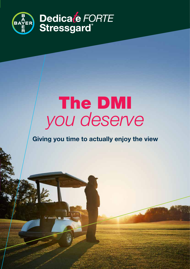

# The DMI *you deserve*

### **Giving you time to actually enjoy the view**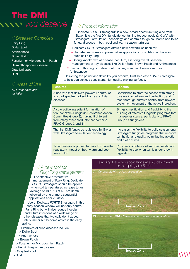### The DMI  *you deserve* // *Product Information*

### // *Diseases Controlled*

Fairy Ring Dollar Spot Anthracnose Brown Patch Fusarium or Microdochium Patch Helminthosporium disease Gray leaf spot Rust

### // *Areas of Use*

*All turf species and varieties*

Dedicate *FORTE* Stressgard® is a new, broad-spectrum fungicide from Bayer. It is the first DMI fungicide, containing tebuconazole (240 g/L) with Stressgard Formulation Technology, and controls tough soil-borne and foliar fungal diseases in both cool and warm season turfgrass.

Dedicate *FORTE* Stressgard offers a new powerful solution for:

- // Targeted early season preventative applications for soil-borne diseases such as Fairy Ring
- // Spring knockdown of disease inoculum, assisting overall seasonal management of key diseases like Dollar Spot, Brown Patch and Anthracnose
- // Fast and thorough curative control of key summer diseases such as Anthracnose

Delivering the power and flexibility you deserve, trust Dedicate *FORTE* Stressgard to help you achieve consistent, high quality playing surfaces.

|  | <b>Features</b>                                                                                                                                                                                  | <b>Benefits</b>                                                                                                                                                                  |
|--|--------------------------------------------------------------------------------------------------------------------------------------------------------------------------------------------------|----------------------------------------------------------------------------------------------------------------------------------------------------------------------------------|
|  | A use rate that delivers powerful control of<br>a broad spectrum of soil borne and foliar<br>diseases                                                                                            | Confidence to start the season with strong<br>disease knockdown and protection, and<br>fast, thorough curative control from upward<br>systemic movement of the active ingredient |
|  | A solo active ingredient formulation of<br>tebuconazole (Fungicide Resistance Action<br>Committee Group 3), making it different<br>from many other products that combine<br>FRAC Groups 3 and 11 | Brings simplification and flexibility to the<br>building of effective fungicide programs that<br>manage resistance, particularly to FRAC<br>Group 11 fungicides                  |
|  | The first DMI fungicide registered by Bayer<br>with Stressgard formulation technology                                                                                                            | Increases the flexibility to build season long<br>Stressgard fungicide programs that improve<br>turf health and quality by mitigating abiotic<br>and biotic stress               |
|  | Tebuconazole is proven to have low growth-<br>regulatory impact on both warm and cool-<br>season turf                                                                                            | Provides confidence of summer safety, and<br>flexibility to use when turf is under growth<br>regulation                                                                          |

### // *A new tool for Fairy Ring management*

For effective preventative management of Fairy Ring, Dedicate *FORTE* Stressgard should be applied when soil temperatures increase to an average of 13-16°C at a 5 cm depth, followed by one or more sequential applications after 28 days.

Use of Dedicate *FORTE* Stressgard in this early-season window will not only control Fairy Ring but will also reduce inoculum and future infections of a wide range of other diseases that typically don't appear until summer but become active in the early spring.

Examples of such diseases include:

- > Dollar Spot
- > Anthracnose
- > Brown Patch
- > Fusarium or Microdochium Patch
- > Helminthosporium disease
- > Gray leaf spot
- > Rust

### Fairy Ring trial – two applications at a 28-day interval in the spring at 3.5 L/ha



#### *21st December 2014 – 6 weeks after the second application*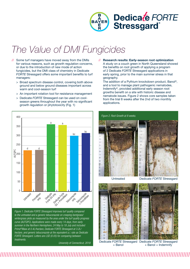

## *The Value of DMI Fungicides*

- // Some turf managers have moved away from the DMIs for various reasons, such as growth regulation concerns, or due to the introduction of new mode of action fungicides, but the DMI class of chemistry in Dedicate *FORTE* Stressgard offers some important benefits to turf managers:
	- > Broad spectrum disease control, covering both above ground and below ground diseases important across warm and cool-season turf
	- > An important rotation tool for resistance management
	- > Dedicate *FORTE* Stressgard can be used on coolseason greens throughout the year with no significant growth regulation or phytotoxicity (Fig. 1)



*Figure 1. Dedicate FORTE Stressgard improves turf quality compared to the untreated and a generic tebuconazole on creeping bentgrass/ wintergrass plots as measured by the area under the turf quality progress curve (AUTQPC). Applications were made every 14 days, from early summer in the Northern Hemisphere, 24 May to 18 July and included Primo®Maxx at 0.4L/hectare, Dedicate FORTE Stressgard at 3.2L/ hectare, and generic tebuconazole at the equivalent a.i. rate as Dedicate FORTE Stressgard. Letters are LSD (0.05) for comparing between treatments.* 

*University of Connecticut, 2018*

// **Research results: Early-season root optimization** A study on a couch green in North Queensland showed the benefits on root growth of applying a program of 2 Dedicate *FORTE* Stressgard applications in early spring, prior to the main summer stress in that geography.

 The addition of a Pythium knockdown product, Banol®, and a tool to manage plant pathogenic nematodes, Indemnify®, provided additional early season root growths benefit on a site with historic disease and nematode issues. Figure 2 shows core samples taken from the trial 8 weeks after the 2nd of two monthly applications.





Dedicate *FORTE* Stressgard Dedicate *FORTE* Stressgard + Banol

+ Banol + Indemnify